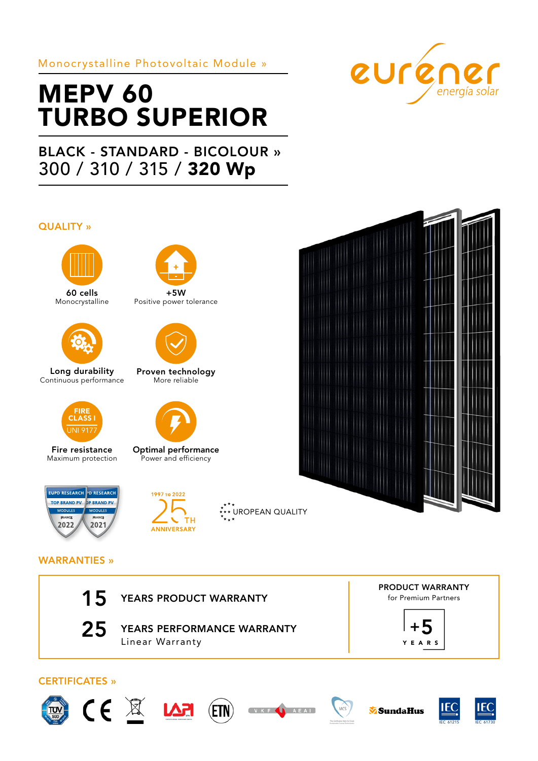### Monocrystalline Photovoltaic Module »

# MEPV 60 TURBO SUPERIOR

## BLACK - STANDARD - BICOLOUR » 300 / 310 / 315 / 320 Wp

#### QUALITY »



60 cells Monocrystalline



Long durability Continuous performance



Fire resistance Maximum protection



+5W Positive power tolerance



Proven technology More reliable



Optimal performance Power and efficiency





\*<sup>\*</sup>\*\* UROPEAN QUALITY



eurener

WARRANTIES »



25 YEARS PERFORMANCE WARRANTY Linear Warranty

PRODUCT WARRANTY for Premium Partners













SundaHus